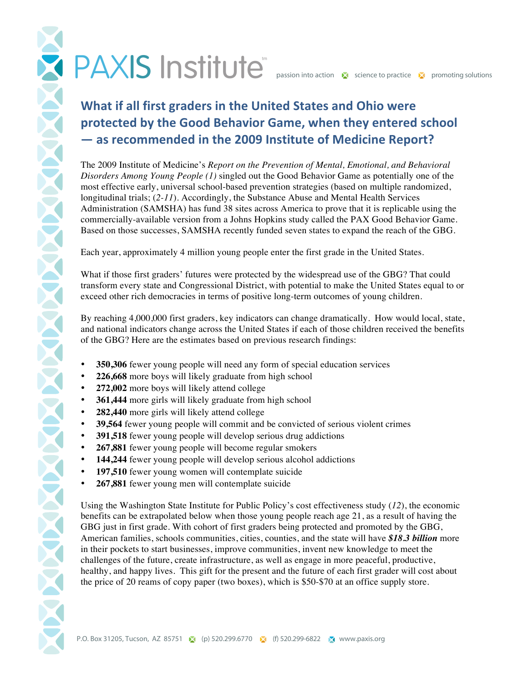## PAXIS Institute passion into action is science to practice in promoting solutions

## **What if all first graders in the United States and Ohio were** protected by the Good Behavior Game, when they entered school  $-$  as recommended in the 2009 Institute of Medicine Report?

The 2009 Institute of Medicine's *Report on the Prevention of Mental, Emotional, and Behavioral Disorders Among Young People (1)* singled out the Good Behavior Game as potentially one of the most effective early, universal school-based prevention strategies (based on multiple randomized, longitudinal trials; (*2-11*). Accordingly, the Substance Abuse and Mental Health Services Administration (SAMSHA) has fund 38 sites across America to prove that it is replicable using the commercially-available version from a Johns Hopkins study called the PAX Good Behavior Game. Based on those successes, SAMSHA recently funded seven states to expand the reach of the GBG.

Each year, approximately 4 million young people enter the first grade in the United States.

What if those first graders' futures were protected by the widespread use of the GBG? That could transform every state and Congressional District, with potential to make the United States equal to or exceed other rich democracies in terms of positive long-term outcomes of young children.

By reaching 4,000,000 first graders, key indicators can change dramatically. How would local, state, and national indicators change across the United States if each of those children received the benefits of the GBG? Here are the estimates based on previous research findings:

- **350,306** fewer young people will need any form of special education services
- **226,668** more boys will likely graduate from high school
- **272,002** more boys will likely attend college
- **361,444** more girls will likely graduate from high school
- **282,440** more girls will likely attend college
- **39,564** fewer young people will commit and be convicted of serious violent crimes
- **391,518** fewer young people will develop serious drug addictions
- **267,881** fewer young people will become regular smokers
- **144,244** fewer young people will develop serious alcohol addictions
- **197,510** fewer young women will contemplate suicide
- **267,881** fewer young men will contemplate suicide

Using the Washington State Institute for Public Policy's cost effectiveness study (*12*), the economic benefits can be extrapolated below when those young people reach age 21, as a result of having the GBG just in first grade. With cohort of first graders being protected and promoted by the GBG, American families, schools communities, cities, counties, and the state will have *\$18.3 billion* more in their pockets to start businesses, improve communities, invent new knowledge to meet the challenges of the future, create infrastructure, as well as engage in more peaceful, productive, healthy, and happy lives. This gift for the present and the future of each first grader will cost about the price of 20 reams of copy paper (two boxes), which is \$50-\$70 at an office supply store.